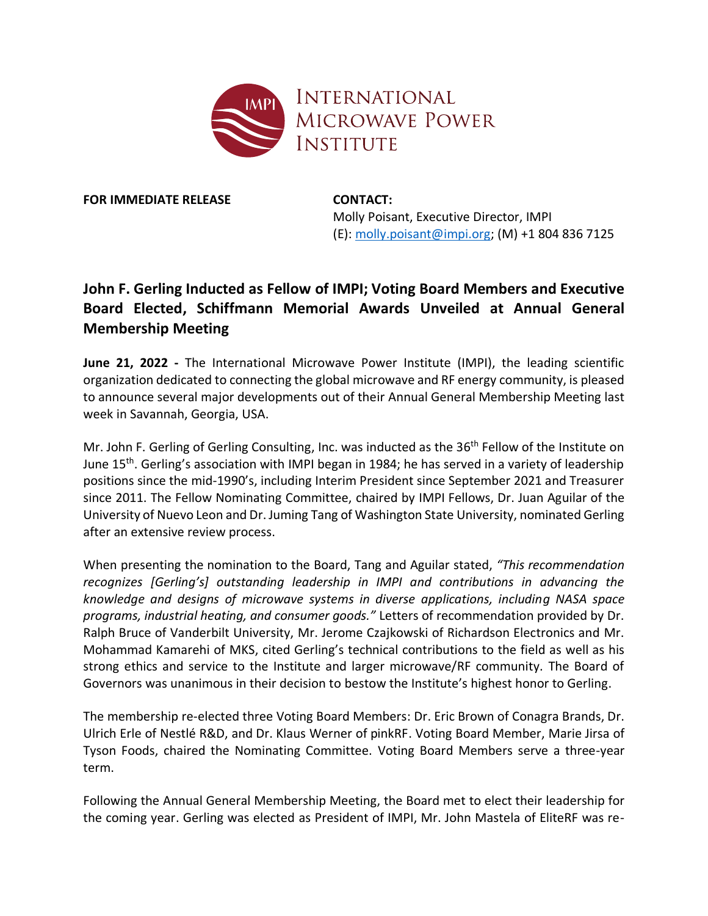

**FOR IMMEDIATE RELEASE CONTACT:** 

Molly Poisant, Executive Director, IMPI (E): [molly.poisant@impi.org;](mailto:molly.poisant@impi.org) (M) +1 804 836 7125

## **John F. Gerling Inducted as Fellow of IMPI; Voting Board Members and Executive Board Elected, Schiffmann Memorial Awards Unveiled at Annual General Membership Meeting**

**June 21, 2022 -** The International Microwave Power Institute (IMPI), the leading scientific organization dedicated to connecting the global microwave and RF energy community, is pleased to announce several major developments out of their Annual General Membership Meeting last week in Savannah, Georgia, USA.

Mr. John F. Gerling of Gerling Consulting, Inc. was inducted as the 36<sup>th</sup> Fellow of the Institute on June 15<sup>th</sup>. Gerling's association with IMPI began in 1984; he has served in a variety of leadership positions since the mid-1990's, including Interim President since September 2021 and Treasurer since 2011. The Fellow Nominating Committee, chaired by IMPI Fellows, Dr. Juan Aguilar of the University of Nuevo Leon and Dr. Juming Tang of Washington State University, nominated Gerling after an extensive review process.

When presenting the nomination to the Board, Tang and Aguilar stated, *"This recommendation recognizes [Gerling's] outstanding leadership in IMPI and contributions in advancing the knowledge and designs of microwave systems in diverse applications, including NASA space programs, industrial heating, and consumer goods."* Letters of recommendation provided by Dr. Ralph Bruce of Vanderbilt University, Mr. Jerome Czajkowski of Richardson Electronics and Mr. Mohammad Kamarehi of MKS, cited Gerling's technical contributions to the field as well as his strong ethics and service to the Institute and larger microwave/RF community. The Board of Governors was unanimous in their decision to bestow the Institute's highest honor to Gerling.

The membership re-elected three Voting Board Members: Dr. Eric Brown of Conagra Brands, Dr. Ulrich Erle of Nestlé R&D, and Dr. Klaus Werner of pinkRF. Voting Board Member, Marie Jirsa of Tyson Foods, chaired the Nominating Committee. Voting Board Members serve a three-year term.

Following the Annual General Membership Meeting, the Board met to elect their leadership for the coming year. Gerling was elected as President of IMPI, Mr. John Mastela of EliteRF was re